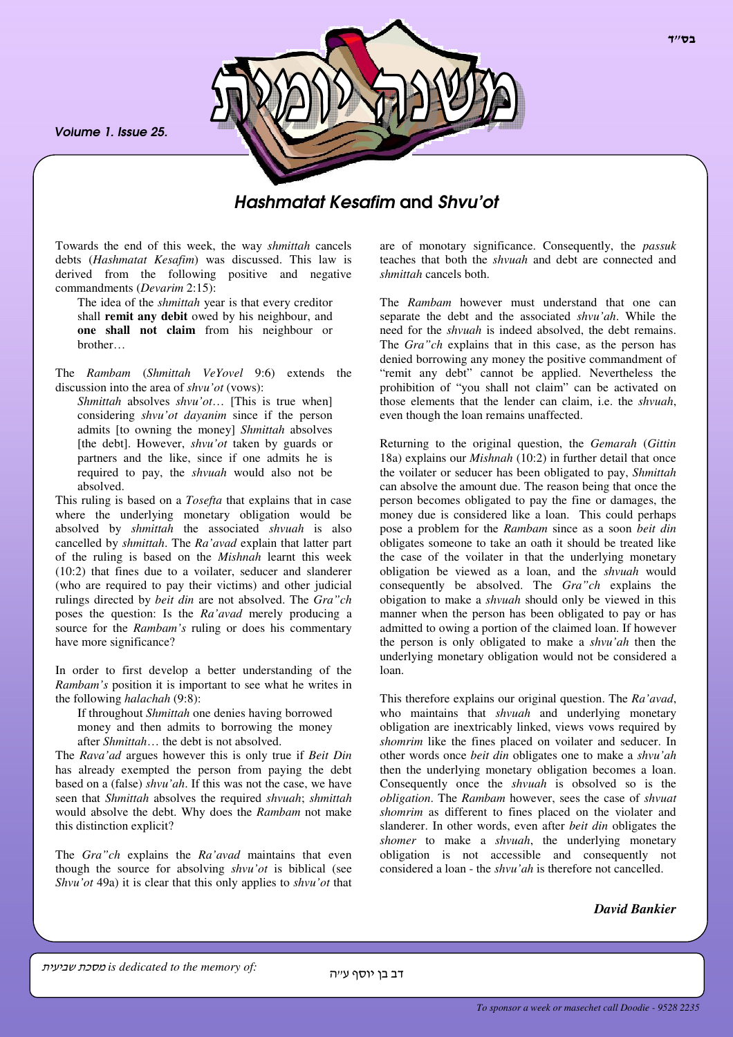*Volume 1. Issue 25.*



# *Hashmatat Kesafim* and *Shvu'ot*

Towards the end of this week, the way *shmittah* cancels debts (*Hashmatat Kesafim*) was discussed. This law is derived from the following positive and negative commandments (*Devarim* 2:15):

The idea of the *shmittah* year is that every creditor shall **remit any debit** owed by his neighbour, and **one shall not claim** from his neighbour or brother…

The *Rambam* (*Shmittah VeYovel* 9:6) extends the discussion into the area of *shvu'ot* (vows):

*Shmittah* absolves *shvu'ot*… [This is true when] considering *shvu'ot dayanim* since if the person admits [to owning the money] *Shmittah* absolves [the debt]. However, *shvu'ot* taken by guards or partners and the like, since if one admits he is required to pay, the *shvuah* would also not be absolved.

This ruling is based on a *Tosefta* that explains that in case where the underlying monetary obligation would be absolved by *shmittah* the associated *shvuah* is also cancelled by *shmittah*. The *Ra'avad* explain that latter part of the ruling is based on the *Mishnah* learnt this week (10:2) that fines due to a voilater, seducer and slanderer (who are required to pay their victims) and other judicial rulings directed by *beit din* are not absolved. The *Gra"ch* poses the question: Is the *Ra'avad* merely producing a source for the *Rambam's* ruling or does his commentary have more significance?

In order to first develop a better understanding of the *Rambam's* position it is important to see what he writes in the following *halachah* (9:8):

If throughout *Shmittah* one denies having borrowed money and then admits to borrowing the money after *Shmittah*… the debt is not absolved.

The *Rava'ad* argues however this is only true if *Beit Din* has already exempted the person from paying the debt based on a (false) *shvu'ah*. If this was not the case, we have seen that *Shmittah* absolves the required *shvuah*; *shmittah* would absolve the debt. Why does the *Rambam* not make this distinction explicit?

The *Gra"ch* explains the *Ra'avad* maintains that even though the source for absolving *shvu'ot* is biblical (see *Shvu'ot* 49a) it is clear that this only applies to *shvu'ot* that are of monotary significance. Consequently, the *passuk* teaches that both the *shvuah* and debt are connected and *shmittah* cancels both.

The *Rambam* however must understand that one can separate the debt and the associated *shvu'ah*. While the need for the *shvuah* is indeed absolved, the debt remains. The *Gra"ch* explains that in this case, as the person has denied borrowing any money the positive commandment of "remit any debt" cannot be applied. Nevertheless the prohibition of "you shall not claim" can be activated on those elements that the lender can claim, i.e. the *shvuah*, even though the loan remains unaffected.

Returning to the original question, the *Gemarah* (*Gittin* 18a) explains our *Mishnah* (10:2) in further detail that once the voilater or seducer has been obligated to pay, *Shmittah* can absolve the amount due. The reason being that once the person becomes obligated to pay the fine or damages, the money due is considered like a loan. This could perhaps pose a problem for the *Rambam* since as a soon *beit din* obligates someone to take an oath it should be treated like the case of the voilater in that the underlying monetary obligation be viewed as a loan, and the *shvuah* would consequently be absolved. The *Gra"ch* explains the obigation to make a *shvuah* should only be viewed in this manner when the person has been obligated to pay or has admitted to owing a portion of the claimed loan. If however the person is only obligated to make a *shvu'ah* then the underlying monetary obligation would not be considered a loan.

This therefore explains our original question. The *Ra'avad*, who maintains that *shvuah* and underlying monetary obligation are inextricably linked, views vows required by *shomrim* like the fines placed on voilater and seducer. In other words once *beit din* obligates one to make a *shvu'ah* then the underlying monetary obligation becomes a loan. Consequently once the *shvuah* is obsolved so is the *obligation*. The *Rambam* however, sees the case of *shvuat shomrim* as different to fines placed on the violater and slanderer. In other words, even after *beit din* obligates the *shomer* to make a *shvuah*, the underlying monetary obligation is not accessible and consequently not considered a loan - the *shvu'ah* is therefore not cancelled.

*David Bankier*